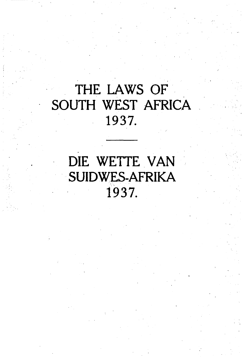# THE LAWS OF SOUTH WEST AFRICA 1937.

DIE WETTE VAN SUIDWES-AFRIKA 1937.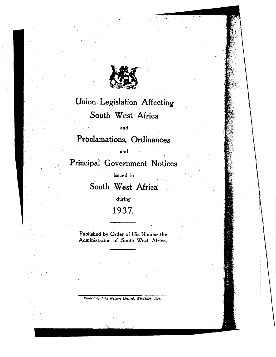

# Union Legislation Affecting South West Africa

and

Proclamations, Ordinances

and

Principal Government Notices

issued in

South West Africa

during

## 1937.

Published by Order of His Honour the Administrator of South West Africa.

Printed by John Meinert Limited, Windhoek, 1938.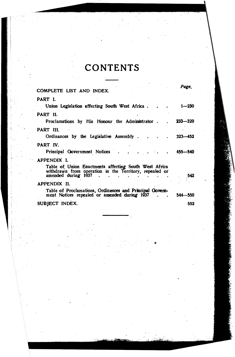# **CONTENTS**

| COMPLETE LIST AND INDEX.                                                                                                                | Page.       |
|-----------------------------------------------------------------------------------------------------------------------------------------|-------------|
| PART I.                                                                                                                                 |             |
| Union Legislation affecting South West Africa                                                                                           | $1 - 230$   |
| PART II.                                                                                                                                |             |
| Proclamations by His Honour the Administrator.                                                                                          | $233 - 320$ |
| PART III.                                                                                                                               |             |
| Ordinances by the Legislative Assembly                                                                                                  | $323 - 452$ |
| PART IV.                                                                                                                                |             |
| Principal Government Notices 455-540                                                                                                    |             |
| APPENDIX I.                                                                                                                             |             |
| Table of Union Enactments affecting South West Africa<br>withdrawn from operation in the Territory, repealed or<br>amended during 1937. | - 542       |
| APPENDIX II.                                                                                                                            |             |
| Table of Proclamations, Ordinances and Principal Govern-<br>ment Notices repealed or amended during 1937.                               | $544 - 550$ |
| SUBJECT INDEX.                                                                                                                          | 552         |
|                                                                                                                                         |             |

,;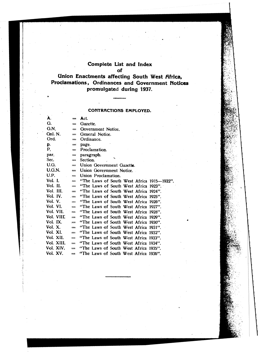## **Complete List and Index**

### **of**

**Union Enactments affecting South West Africa, Proclamations, Ordinances and Government Notices prom-ulgated during 1937.** 

### **CONTRACTIONS EMPLOYED.**

| A.          | $=$           | Act.                                       |
|-------------|---------------|--------------------------------------------|
| G.          | $=$           | Gazette.                                   |
| G.N.        | $=$           | Government Notice,                         |
| Gnl. N.     | $=$           | General Notice.                            |
| Ord.        | $=$           | Ordinance.                                 |
| p.          | $=$           | page.                                      |
| Р.          | $=$           | Proclamation.                              |
| par.        | $=$           | paragraph.<br>k.                           |
| Sec.        | $=$           | Section.                                   |
| U.G.        | $=$           | Union Government Gazette.                  |
| U.G.N.      | $=$           | Union Government Notice.                   |
| U.P.        | $=$           | Union Proclamation.                        |
| Vol. I.     | $=$           | "The Laws of South West Africa 1915-1922". |
| Vol. II.    | $=$           | "The Laws of South West Africa 1923".      |
| Vol. III. - | $=$           | "The Laws of South West Africa 1924".      |
| Vol. IV.    | $=$           | "The Laws of South West Africa 1925".      |
| Vol. V.     | $=$           | "The Laws of South West Africa 1926".      |
| Vol. VI.    | $=$           | "The Laws of South West Africa 1927".      |
| Vol. VII.   | $=$           | "The Laws of South West Africa 1928".      |
| Vol. VIII.  | $=$           | "The Laws of South West Africa 1929".      |
| Vol. IX.    | $=$           | "The Laws of South West Africa 1930".      |
| Vol. X.     | $=$           | "The Laws of South West Africa 1931".      |
| Vol. XI.    | $=$           | "The Laws of South West Africa 1932".      |
| Vol. XII.   | $=$           | "The Laws of South West Africa 1933".      |
| Vol. XIII.  | $=$           | "The Laws of South West Africa 1934".      |
| Vol. XIV.   | $=$           | "The Laws of South West Africa 1935".      |
| Vol. XV.    | $\frac{1}{2}$ | "The Laws of South West Africa 1936".      |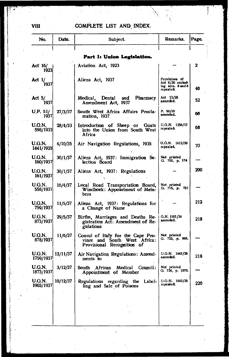## COMPLETE LIST AND INDEX.

| No.                          | Date.    | Subject.                                                                                        | Remarks.                                                              | Page. |
|------------------------------|----------|-------------------------------------------------------------------------------------------------|-----------------------------------------------------------------------|-------|
|                              |          | Part I: Union Legislation.                                                                      |                                                                       |       |
| Act <sup>.</sup> 16/<br>1923 |          | Aviation Act, 1923                                                                              |                                                                       | 2     |
| Act 1/<br>1937               |          | Aliens Act, 1937                                                                                | Provisions of<br>Act 8/30 exclud-<br>ing secs. 6 and 8<br>repealed. . | 40    |
| Act 5/<br>1937               |          | Medical, Dental<br>Pharmacy<br>and<br>Amendment Act, 1937                                       | Act 13/28<br>amended.                                                 | 52    |
| U.P. 51/<br>1937             | 27/3/37  | South West Africa Affairs Procla-<br>mation、1937                                                | P.50/20<br>amended.                                                   | 60    |
| U.G.N.<br>598/1933           | 28/4/33  | Introduction of Sheep or Goats<br>into the Union from South West<br>Africa                      | U.G.N. 1356/17<br>repealed.                                           | 68    |
| U.G.N.<br>1441/1935          | 4/10/35  | Air Navigation Regulations, 1935                                                                | U.G.N. 1412/29<br>repealed.                                           | 70    |
| U.G.N.<br>160/1937           | 30/1/37  | Aliens Act, 1937: Immigration Se-<br>lection Board                                              | Not printed<br>G. 700, p. 574                                         |       |
| U.G.N.<br>161/1937           | 30/1/37  | Aliens Act, 1937: Regulations                                                                   |                                                                       | 200   |
| U.G.N.<br>558/1937           | 16/4/37  | Local Road Transportation Board,<br>Windhoek: Appointment of Mem-<br>bers                       | Not printed<br>O. 715, p. 721                                         |       |
| U.G.N.<br>759/1937           | 11/5/37  | Aliens Act, 1937: Regulations for<br>a Change of Name                                           |                                                                       | 212   |
| U.G.N.<br>873/1937           | 29/5/37  | Births, Marriages and Deaths Re-<br>gistration Act: Amendment of Re-<br>gulations               | Q.N. 1181/34<br>amended.                                              | 218   |
| U.G.N.<br>878/1937           | 11/6/37  | Consul of Italy for the Cape Pro-<br>vince and South West Africa:<br>Provisional Recognition of | Not printed<br>G. 722, p. 845.                                        |       |
| U.G.N.<br>1759/1937          | 12/11/37 | Air Navigation Regulations: Amend-<br>ments to                                                  | $U.G.N.$ 1441/35<br>amended.                                          | 218   |
| U.G.N.<br>1873/1937          | 3/12/37  | Medical Council:<br>South African<br>Appointment of Member                                      | Not printed<br>О. 734, р. 1070.                                       |       |
| U.G.N.<br>1903/1937          | 10/12/37 | Regulations regarding the<br>Label-<br>ling and Sale of Poisons                                 | $U.G.N.$ 1662/35<br>repealed.                                         | 220   |
|                              |          |                                                                                                 |                                                                       |       |

 $\sim$  VIII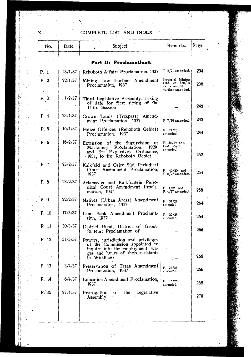## COMPLETE LIST AND INDEX.

| No.    | Date.   | Subject.                                                                                                                                                     | Remarks.                                                            | Page.         |
|--------|---------|--------------------------------------------------------------------------------------------------------------------------------------------------------------|---------------------------------------------------------------------|---------------|
|        |         | Part II: Proclamations.                                                                                                                                      |                                                                     |               |
| P. 1   | 23/1/37 | Rehoboth Affairs Proclamation, 1937                                                                                                                          | $P. 2/21$ amended.                                                  | 234           |
| P. 2   | 22/1/37 | Mining Law Further Amendment<br>Proclamation, 1937                                                                                                           | Imperial Mining<br>Ord. of 8/8/05<br>as amended<br>further amended, | 238           |
| P. 3   | 1/2/37  | Third Legislative Assembly: Fixing<br>of date, for first sitting of the<br>Third Session                                                                     |                                                                     | 242           |
| P. 4   | 23/1/37 | Crown Lands (Trespass) Amend-<br>ment Proclamation, 1937                                                                                                     | P. 7/19 amended.                                                    | 242           |
| P. 5   | 16/1/37 | Police Offences (Rehoboth Gebiet)<br>Proclamation, 1937                                                                                                      | P. 27/20<br>extended.                                               | 244           |
| P.6    | 16/2/37 | Extension of the Supervision of<br>Machinery Proclamation, 1929,<br>and the Explosives Ordinance,<br>1931, to the Rehoboth Gebiet                            | P. 36/29 and<br>Ord. 15/31<br>extended.                             | $252^{\circ}$ |
| P. 7   | 23/2/37 | Kalkfeld and Osire Süd Periodical<br>Court Amendment Proclamation,<br>1937                                                                                   | P. $42/20$ and<br>P. 8/27 amended.                                  | 254           |
| P. 8   | 23/2/37 | Ariamsvlei and Kalkfontein Perio-<br>dical Court Amendment Procla-<br>mation, 1937                                                                           | P. 1/26 and<br>$P.4/27$ amended.                                    | 258           |
| P.9    | 22/2/37 | Natives (Urban Areas) Amendment<br>Proclamation, 1937                                                                                                        | P. 34/24<br>amended.                                                | 264           |
| P. 10  | 17/3/37 | Land Bank Amendment Proclama-<br>tion, 1937                                                                                                                  | P. 22/35<br>amended,                                                | 264           |
| P. 11  | 30/3/37 | District Road, District of Groot-<br>fontein: Proclamation of                                                                                                |                                                                     | 266           |
| P. 12  | 31/3/37 | Powers, jurisdiction and privileges<br>of the Commission appointed to<br>inquire into the employment, wa-<br>ges and hours of shop assistants<br>in Windhoek |                                                                     | 266           |
| P. 13. | 3/4/37  | Preservation of Trees Amendment<br>Proclamation, 1937                                                                                                        | P. 23/25<br>ашспосо,                                                | 266           |
| P. 14  | .6/4/37 | Education Amendment Proclamation,<br>1937                                                                                                                    | P. 16/26<br>amended.                                                | 268           |
| P. 15  | 27/4/37 | Legislative<br>of.<br>the<br>Prorogation<br>Assembly                                                                                                         |                                                                     | 270 -         |
|        |         | tana 2                                                                                                                                                       |                                                                     |               |

 $\mathbf{x}$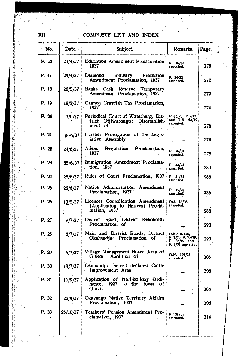## **XII COMPLETE LIST AND INDEX.**

\

| No.   | Date.          | Subject.                                                                             | Remarks.                                                                   | Page. |
|-------|----------------|--------------------------------------------------------------------------------------|----------------------------------------------------------------------------|-------|
| P. 16 | 27/4/37        | <b>Education Amendment Proclamation</b><br>1937                                      | P. 16/26<br>amended.                                                       | 270   |
| P. 17 | <b>29/4/37</b> | Diamond<br>Industry<br>Protection<br>Amendment Proclamation, 1937                    | P. 20/22<br>amended.                                                       | 272   |
| P. 18 | 20/5/37        | Banks Cash Reserve<br>Temporary<br>Amendment Proclamation, 1937                      |                                                                            | 272   |
| P. 19 | 18/5/37        | Canned Crayfish Tax Proclamation,<br>1937                                            |                                                                            | 274.  |
| P. 20 | 7/6/37         | Periodical Court at Waterberg, Dis-<br>trict Otjiwarongo: Disestablish-<br>ment of   | P. 67/20, P. 7/27<br>and G.N. 42/19<br>repealed.                           | 276   |
| P. 21 | 18/6/37        | Further Prorogation of the Legis-<br>lative Assembly                                 |                                                                            | 278   |
| P. 22 | 24/6/37        | Regulation Proclamation,<br>Aliens<br>1937                                           | P. 16/31<br>repealed.                                                      | 278   |
| P. 23 | 25/6/37        | Immigration Amendment Proclama-<br>tion, 1937                                        | P. 23/24<br>amended.                                                       | 280   |
| P. 24 | 28/6/37        | Rules of Court Proclamation, 1937                                                    | P. 31/35<br>amended.                                                       | 286   |
| P. 25 | 28/6/37        | Native Administration Amendment<br>Proclamation, 1937                                | P. 15/28<br>amended.                                                       | 286.  |
| P. 26 | 13/5/37        | Licences Consolidation Amendment<br>(Application to Natives) Procla-<br>mation, 1937 | Ord. 13/35<br>amended.                                                     | 288   |
| P. 27 | 8/7/37         | District Road, District Rehoboth:<br>Proclamation of                                 |                                                                            | 290   |
| P.28  | 8/7/37         | Main and District Roads, District<br>Okahandia: Proclamation of                      | $O.N.$ 87/25,<br>P. 2/29, P. 30/29,<br>P. $32/29$ and<br>P. 3/31 repealed. | 290   |
| P. 29 | 5/7/37         | Village Management Board Area of<br>Gibeon: Abolition of                             | 0. N. 169/25<br>repealed.                                                  | 306   |
| P. 30 | 19/7/37        | Okahandja District declared Cattle<br>Improvement Area                               |                                                                            | 306   |
| P. 31 | 11/9/37        | Application of Half-holiday Ordi-<br>nance, 1927 to the town of<br>Otavi -           |                                                                            | 306   |
| P. 32 | 20/9/37        | Okavango Native Territory Affairs<br>Proclamation, 1937                              |                                                                            | 306   |
| P. 33 | 26/10/37       | Teachers' Pension Amendment Pro-<br>clamation, 1937                                  | P. 39/31<br>amended.                                                       | 314   |
|       |                |                                                                                      |                                                                            |       |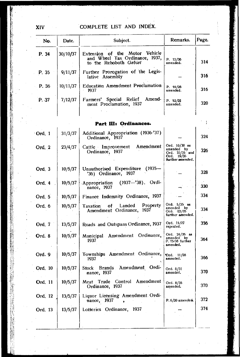## COMPLETE LIST AND INDEX.

| No.       | Date.    | Subject.                                                                                   | Remarks.                                                                           | Page. |
|-----------|----------|--------------------------------------------------------------------------------------------|------------------------------------------------------------------------------------|-------|
| P. 34     | 30/10/37 | Extension of the Motor Vehicle<br>and Wheel Tax Ordinance, 1937,<br>to the Rehoboth Gebiet | P. 12/36<br>amended.                                                               | 314   |
| P. 35     | 9/11/37  | Further Prorogation of the Legis-<br>lative Assembly                                       |                                                                                    | 316   |
| P. 36     | 10/11/37 | Education Amendment Proclamation<br>1937                                                   | P. 16/26<br>amended.                                                               | 316   |
| P. 37     | 7/12/37  | Farmers' Special Relief<br>Amend-<br>ment Proclamation, 1937                               | P. 52/31<br>amended.                                                               | 320   |
|           |          | Part III: Ordinances.                                                                      |                                                                                    |       |
| Ord. 1    | 31/3/37  | Additional Appropriation (1936-'37)<br>Ordinance, 1937                                     |                                                                                    | 324   |
| Ord, 2    | 23/4/37  | Amendment<br>Cattle Improvement<br>Ordinance, 1937                                         | Ord. 10/30 as<br>amended by<br>Ord. 10/35 and<br>19/35<br>Ord.<br>further amended. | 326   |
| Ord $, 3$ | 10/5/37  | $(1935 -$<br>Unauthorised Expenditure<br>'36) Ordinance, 1937                              |                                                                                    | 328   |
| Ord. 4    | 10/5/37  | $(1937 - 38)$ . Ordi-<br>Appropriation<br>nance, 1937                                      |                                                                                    | 330   |
| Ord. 5    | 10/5/37  | Finance Indemnity Ordinance, 1937                                                          |                                                                                    | 334   |
| Ord, 6    | 10/5/37  | Property<br>Landed<br>Taxation<br>оf<br>Amendment Ordinance,<br>1937                       | Ordi. 5/35 ass<br>amended by<br>Ord. 22/35<br>further amended.                     | 334   |
| Ord. 7    | 13/5/37  | Roads and Outspans Ordinance, 1937                                                         | Ord. 15/27<br>repealed.                                                            | 336   |
| Ord. 8    | 10/5/37  | Ordinance,<br>Municipal Amendment<br>1937                                                  | Ord. 24/35 as<br>amended by<br>P. 15/36 further<br>amended.                        | 364   |
| Ord. 9    | 10/5/37  | Townships Amendment Ordinance,<br>1937                                                     | <b>Ord.</b> 11/28<br>amended.                                                      | 366   |
| Ord. 10   | 10/5/37  | Brands Amendment Ordi-<br><b>Stock</b><br>nance, 1937                                      | Ord. 8/31<br>amended,                                                              | 370   |
| Ord. 11   | 10/5/37  | Control Amendment<br>Meat Trade<br>Ordinance, 1937                                         | Ord. 8/35<br>amended.                                                              | 370   |
| Ord. 12   | 13/5/37  | Liquor Licensing Amendment Ordi-<br>nance, 1937                                            | P. 6/20 amended.                                                                   | 372   |
| Ord. 13   | 13/5/37  | Lotteries Ordinance, 1937                                                                  |                                                                                    | 374   |

XIV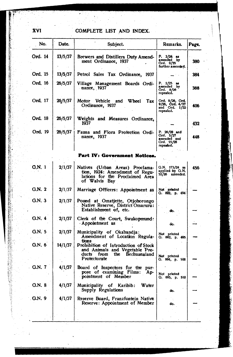**XVI** COMPLETE LIST AND INDEX.

| No.      | Date.   | Subject.                                                                                                                 | Remarks.                                                            | Page. |
|----------|---------|--------------------------------------------------------------------------------------------------------------------------|---------------------------------------------------------------------|-------|
| Ord. 14  | 13/5/37 | Brewers and Distillers Duty Amend-<br>ment Ordinance, 1937                                                               | $P. 3/24$ as<br>amended by<br>Ord. 9/35<br>further amended.         | 380   |
| Ord. 15  | 13/5/37 | Petrol Sales Tax Ordinance, 1937                                                                                         |                                                                     | 384   |
| Ord, 16  | 26/5/37 | Village Management Boards Ordi-<br>nance, 1937                                                                           | P. $2/25$ as<br>amended by<br>Ord. 8/26<br>repezled.                | 388   |
| Ord, 17  | 26/5/37 | Motor Vehicle and Wheel Tax<br>Ordinance, 1937                                                                           | Ord. 6/26, Ord.<br>9/26, Ord. 4/27<br>and Ord. 1/32<br>repealed.    | 406   |
| Ord, 18  | 26/5/37 | Weights and Measures Ordinance,<br>1937                                                                                  |                                                                     | 432   |
| Ord. 19  | 26/5/37 | Fauna and Flora Protection Ordi-<br>nance, 1937                                                                          | P. 26/28 and<br>Ord. 5/27<br>amended and<br>Ord. 15/28<br>repealed. | 448   |
|          |         | Part IV: Government Notices.                                                                                             |                                                                     |       |
| $QN$ 1   | 2/1/37  | Natives (Urban Areas) Proclama-<br>tion, 1924: Amendment of Regu-<br>lations for the Proclaimed Area of Walvis Bay       | $Q.N.$ 173/24 as<br>applied by G.N.<br>52/26 amended.               | 456   |
| G.N.2    | 2/1/37  | Marriage Officers: Appointment as                                                                                        | Not printed<br>Q. 692, p. 494                                       |       |
| Q.N.3    | 2/1/37  | Pound at Omatjette, Otjohorongo<br>Native Reserve, District Omaruru:<br>Establishment of, etc.                           | do.                                                                 |       |
| Q.N.4    | 2/1/37  | Clerk of the Court, Swakopmund:<br>Appointment as                                                                        | do.                                                                 |       |
| G.N. 5   | 2/1/37  | Municipality of Okahandja:<br>Amendment of Location Regula-<br>tions                                                     | Not printed<br>G. 692, p. 495                                       |       |
| G.N. 6   | 14/1/37 | Prohibition of Introduction of Stock<br>and Animals and Vegetable Pro-<br>the Bechuanaland<br>ducts from<br>Protectorate | Not printed<br>О. 694, р. 508                                       |       |
| G.N. 7   | 4/1/37  | Board of Inspectors for the pur-<br>pose of examining Films: Ap-<br>pointment of Member                                  | Not printed<br>G. 695, p. 510                                       |       |
| G.N. 8   | 4/1/37  | Municipality of Karibib:<br>Water<br>Supply Regulations                                                                  | do.                                                                 |       |
| . Q.N. 9 | 4/1/37  | Reserve Board, Franzfontein Native<br>Reserve: Appointment of Member                                                     | do.                                                                 |       |
|          |         |                                                                                                                          |                                                                     |       |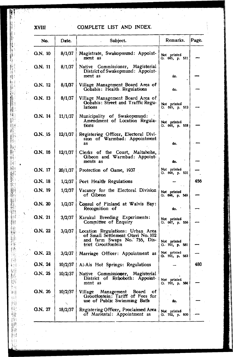## xvm

\

## COMPLETE LIST AND INDEX.

| No.       | Date.   | Subject.                                                                                                                    | Remarks.                          | Page. |
|-----------|---------|-----------------------------------------------------------------------------------------------------------------------------|-----------------------------------|-------|
| G.N. 10   | 8/1/37  | Magistrate, Swakopmund: Appoint-<br>ment as                                                                                 | Not printed<br>G. 695, p. 511     |       |
| $G.N.$ 11 | 8/1/37  | Native Commissioner, Magisterial<br>District of Swakopmund: Appoint-<br>ment as                                             | do.                               |       |
| G.N. 12   | 8/1/37  | Village Management Board Area of<br>Gobabis: Health Regulations                                                             | do.                               |       |
| G.N. 13   | 8/1/37  | Village Management Board Area of<br>Gobabis: Street and Traffic Regu-<br>lations                                            | Not printed<br>G. 695, p. 513     |       |
| G.N. 14   | 11/1/37 | Municipality of Swakopmund:<br>Amendment of Location Regula-<br>tions                                                       | Not printed<br>G. 695, p. 518     |       |
| G.N. 15   | 12/1/37 | Registering Officer, Electoral Division of Warmbad: Appointment<br>as                                                       | do.                               |       |
| G.N. 16   | 12/1/37 | Clerks of the Court, Maltahohe,<br>Gibeon and Warmbad: Appoint-<br>ments as                                                 | do.                               |       |
| G.N. 17   | 20/1/37 | Protection of Game, 1937                                                                                                    | Not printed<br>Q. 696, p. 531     |       |
| G.N. 18   | 1/2/37  | Port Health Regulations                                                                                                     |                                   | 456   |
| G.N. 19   | 1/2/37  | Vacancy for the Electoral Division<br>of Gibeon                                                                             | Not printed<br>O. 696, p. 549     |       |
| G.N. 20   | 1/2/37  | Consul of Finland at Walvis Bay:<br>Recognition of                                                                          | do.                               |       |
| G.N. 21   | 3/2/37  | Karakul Breeding Experiments:<br>Committee of Enquiry                                                                       | Not printed<br>O. 697, p. 556     |       |
| G.N. 22   | 3/2/37  | Location Regulations: Urban Area<br>of Small Settlement Otavi No. 102<br>and farm Swaps No. 755, Dis-<br>trict Grootfontein | Not printed<br>G. 701, p. 581     |       |
| Q.N. 23   | 3/2/37  | Marriage Officer: Appointment as                                                                                            | Not printed<br>G. 701, p. 583     |       |
| G.N. 24   |         | 10/2/37   Ai-Ais Hot Springs: Regulations                                                                                   |                                   | 480   |
| G.N. 25   | 10/2/37 | Native Commissioner, Magisterial<br>District of Rehoboth: Appoint-<br>ment as                                               | Not printed<br>G. 701, p. 584     |       |
| Q.N. 26   | 10/2/37 | Village Management<br>Board<br>of<br>Grootfontein; Tariff of Fees for<br>use of Public Swimming Bath                        | do.                               |       |
| G.N. 27   | 18/2/37 | Registering Officer, Proclaimed Area<br>of Mariental: Appointment as                                                        | Not printed<br>$0.702$ , p. $600$ |       |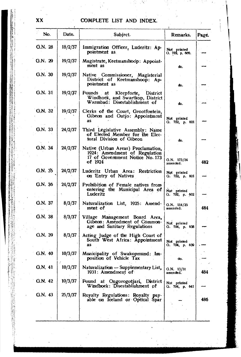## **xx COMPLETE LIST AND INDEX.**

| No.     | Date.   | Subject.                                                                                                          | Remarks.                       | Page. |
|---------|---------|-------------------------------------------------------------------------------------------------------------------|--------------------------------|-------|
| G.N. 28 | 18/2/37 | Immigration Officer, Luderitz: Ap-<br>pointment as                                                                | Not printed<br>О. 702, р. 660. |       |
| Q.N. 29 | 19/2/37 | Magistrate, Keetmanshoop: Appoint-<br>ment as                                                                     | do.                            |       |
| G.N. 30 | 19/2/37 | Native Commissioner, Magisterial<br>District of Keetmanshoop: Ap-<br>pointment as                                 | do.                            |       |
| G.N. 31 | 19/2/37 | Pounds at<br>Kleepforte,<br>District<br>Windhoek, and Swartkop, District<br>Warmbad: Disestablishment of          | do.                            |       |
| G.N. 32 | 19/2/37 | Clerks of the Court, Grootfontein,<br>Gibeon and Outjo: Appointment<br><b>as</b>                                  | Not printed<br>Q. 702, p. 601  |       |
| Q.N. 33 | 24/2/37 | Third Legislative Assembly: Name<br>of Elected Member for the Elec-<br>toral Division of Gibeon                   | do.                            |       |
| G.N. 34 | 24/2/37 | Native (Urban Areas) Proclamation,<br>1924: Amendment of Regulation<br>17 of Government Notice No. 173<br>of 1924 | G.N. 173/24<br>amended.        | 482   |
| G.N. 35 | 24/2/37 | Luderitz Urban Area: Restriction<br>on Entry of Natives                                                           | Not printed<br>Q.702, p.601    |       |
| G.N. 36 | 24/2/37 | Prohibition of Female natives from<br>entering the Municipal Area of<br>Luderitz                                  | Not printed<br>О. 702, р. 602  |       |
| G.N. 37 | 8/3/37  | Naturalization List, 1925: Amend-<br>ment of                                                                      | G.N. 114/25<br>amended.        | 484   |
| G.N. 38 | 8/3/37  | Village Management Board Area,<br>Gibeon: Amendment of Common-<br>age and Sanitary Regulations                    | Not printed<br>Q. 704, p. 638  |       |
| G.N. 39 | 8/3/37  | Acting Judge of the High Court of<br>South West Africa: Appointment<br>as                                         | Not printed<br>Q. 704, p. 639  |       |
| G.N. 40 | 10/3/37 | Municipality of Swakopmund: Im-<br>position of Vehicle Tax                                                        | do.                            |       |
| G.N. 41 | 10/3/37 | Naturalization - Supplementary List, $ _{0.N. 13/31}$<br>1931: Amendment of                                       | amended.                       | 484   |
| G.N. 42 | 10/3/37 | Pound at Ongorogotjari, District<br>Windhoek: Disestablishment of                                                 | Not printed<br>Q. 704, p. 641  |       |
| G.N. 43 | 25/3/37 | Royalty Regulations: Royalty pay-<br>able on Iceland or Optical Spar                                              |                                | 486   |
|         |         |                                                                                                                   |                                |       |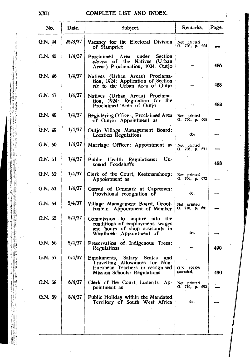## COMPLETE LIST AND 'INDEX.

| No.     | Date.   | Subject.                                                                                                                           | Remarks.                      | Page. |
|---------|---------|------------------------------------------------------------------------------------------------------------------------------------|-------------------------------|-------|
| G.N. 44 | 25/3/37 | Vacancy for the Electoral Division<br>of Stampriet                                                                                 | Not printed<br>О. 706, р. 664 |       |
| G.N. 45 | 1/4/37  | under<br>Proclaimed Area<br><b>Section</b><br>eleven of the Natives (Urban<br>Areas) Proclamation, 1924: Outjo                     |                               | 486   |
| G.N. 46 | 1/4/37  | Natives (Urban Areas) Proclama-<br>tion, 1924: Application of Section<br>six to the Urban Area of Outjo                            |                               | 488   |
| G.N. 47 | 1/4/37  | Natives (Urban Areas) Proclama-<br>tion, 1924: Regulation for the<br>Proclaimed Area of Outjo                                      |                               | 488   |
| Q.N. 48 | 1/4/37  | Registering Officer, Proclaimed Area<br>of Outjo: Appointment as                                                                   | Not printed<br>G. 706, p. 665 |       |
| G.N. 49 | 1/4/37  | Outjo Village Management Board:<br>Location Regulations                                                                            | do.                           |       |
| G.N. 50 | 1/4/37  | Marriage Officer: Appointment as                                                                                                   | Not printed<br>Q. 706, p. 671 |       |
| G.N. 51 | 1/4/37  | $Un-$<br>Public Health Regulations:<br>sound Foodstuff's                                                                           |                               | 488   |
| G.N. 52 | 1/4/37  | Clerk of the Court, Keetmanshoop:<br>Appointment as                                                                                | Not printed<br>G. 706, p. 672 |       |
| G.N. 53 | 1/4/37  | Consul of Denmark at Capetown:<br>Provisional recognition of                                                                       | do.                           |       |
| G.N. 54 | 5/4/37  | Village Management Board, Groot-<br>fontein: Appointment of Member                                                                 | Not printed<br>G. 710, p. 691 |       |
| G.N. 55 | 5/4/37  | Commission to inquire into the<br>conditions of employment, wages<br>and hours of shop assistants in<br>Windhoek: Appointment of   | do.                           |       |
| G.N. 56 | 5/4/37  | Preservation of Indigenous Trees:<br>Regulations                                                                                   |                               | 490   |
| G.N. 57 | 6/4/37  | Emoluments, Salary Scales and<br>Travelling Allowances for Non-<br>European Teachers in recognised<br>Mission Schools: Regulations | G.N. 129/26<br>amended.       | 490   |
| G.N. 58 | 6/4/37  | Clerk of the Court, Luderitz: Ap-<br>pointment as                                                                                  | Not printed<br>G. 710, p. 692 |       |
| G.N. 59 | 8/4/37  | Public Holiday within the Mandated<br>Territory of South West Africa                                                               | do.                           |       |
|         |         |                                                                                                                                    |                               |       |
|         |         |                                                                                                                                    |                               |       |

ļ

**XXII.**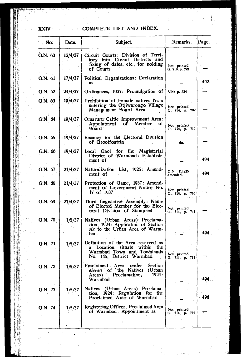$\epsilon$ 

## XXIV COMPLETE LIST AND INDEX.

| No.            | Date.      | Subject.                                                                                                                              | Remarks.                      | Page. |
|----------------|------------|---------------------------------------------------------------------------------------------------------------------------------------|-------------------------------|-------|
| G.N. 60        | 15/4/37    | Circuit Courts: Division of Terri-<br>tory into Circuit Districts and<br>fixing of dates, etc., for holding<br>of Courts              | Not printed<br>G. 710, p. 692 |       |
| G.N. 61        | 17/4/37    | Political Organizations: Declaration<br>as                                                                                            |                               | 492   |
| G.N. 62        | $-23/4/37$ | Ordinances, 1937: Promulgation of                                                                                                     | Vide p. 324                   |       |
| G.N. 63        | 19/4/37    | Prohibition of Female natives from<br>entering the Otjiwarongo Village<br>Management Board Area                                       | Not printed<br>G. 714, p. 709 |       |
| G.N. 64        | 19/4/37    | Omaruru Cattle Improvement Area:<br>Appointment of Member of<br>Board                                                                 | Not printed<br>G. 714, p. 710 |       |
| G.N. 65        | 19/4/37    | Vacancy for the Electoral Division<br>of Grootfontein                                                                                 | do.                           |       |
| G.N. 66        | 19/4/37    | Local Gaol for the Magisterial<br>District of Warmbad: Establish-<br>ment of                                                          |                               | 494   |
| G.N. 67        | 21/4/37    | Naturalization List, 1925: Amend-<br>ment of                                                                                          | $G.N.$ 114/25<br>amended.     | 494   |
| G.N. 68        | 21/4/37    | Protection of Game, 1937: Amend-<br>ment of Government Notice No.<br>17 of 1937                                                       | Not printed<br>G. 714, p. 710 |       |
| G.N. 69        | 21/4/37    | Third Legislative Assembly: Name<br>of Elected Member for the Elec-<br>toral Division of Stampriet                                    | Not printed<br>Q. 714, p. 711 |       |
| G.N. 70        | 1/5/37     | Natives (Urban Areas) Proclama-<br>tion, 1924: Application of Section<br>six to the Urban Area of Warm-<br>bad                        |                               | 494   |
| <b>G.N.</b> 71 | 1/5/37     | Definition of the Area reserved as<br>Location situate within<br>the.<br>a<br>Warmbad Town and Townlands<br>No. 145, District Warmbad | Not printed<br>Q. 714, p. 711 |       |
| G.N. 72        | 1/5/37     | Proclaimed Area<br>under Section<br>eleven of the Natives<br>(Urban<br>Proclamation,<br>1924:<br>Areas)<br>Warmbad                    |                               | 494.  |
| G.N. 73        | 1/5/37     | Natives (Urban Areas) Proclama-<br>tion, 1924: Regulation for the<br>Proclaimed Area of Warmbad                                       |                               | - 496 |
| G.N. 74        | 1/5/37     | Registering Officer, Proclaimed Area<br>of Warmbad: Appointment as                                                                    | Not printed<br>G. 714, p. 712 |       |
|                |            |                                                                                                                                       |                               |       |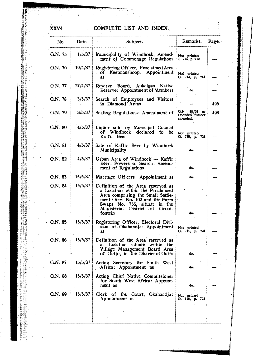## XXVI COMPLETE LIST AND INDEX.

| No.      | Date.      | Subject.                                                                                                                                                                                                                        | Remarks.                                     | Page. |
|----------|------------|---------------------------------------------------------------------------------------------------------------------------------------------------------------------------------------------------------------------------------|----------------------------------------------|-------|
| G.N. 75  | 1/5/37     | Municipality of Windhoek, Amend-<br>ment of Commonage Regulations                                                                                                                                                               | Not printed<br>Q. 714, p. 712                |       |
| G.N. 76  | 19/4/37    | Registering Officer, Proclaimed Area<br>of Keetmanshoop: Appointment<br>as                                                                                                                                                      | Not printed<br>Q. 714, p. 714                |       |
| G.N. 77  | $-27/4/37$ | Reserve Board, Aukeigas Native<br>Reserve: Appointment of Members                                                                                                                                                               | do.                                          |       |
| G.N. 78  | 3/5/37     | Search of Employees and Visitors<br>in Diamond Areas                                                                                                                                                                            |                                              | 496   |
| G.N. 79  | 3/5/37     | Sealing Regulations: Amendment of                                                                                                                                                                                               | Q.N. 88/28 as<br>amended further<br>amended. | 498   |
| G.N. 80  | 4/5/37     | Liquor sold by Municipal Council<br>of Windhoek declared to<br>- be<br>Kaffir Beer                                                                                                                                              | Not printed<br>Q. 715, p. 723                |       |
| G.N. 81  | 4/5/37     | Sale of Kaffir Beer by Windhoek<br>Municipality                                                                                                                                                                                 | do.                                          |       |
| G.N. 82  | 4/5/37     | Urban Area of Windhoek - Kaffir<br>Beer: Powers of Search: Amend-<br>ment of Regulations                                                                                                                                        | do.                                          |       |
| G.N. 83  | 15/5/37    | Marriage Officers: Appointment as                                                                                                                                                                                               | do.                                          |       |
| G.N. 84  | 15/5/37    | Definition of the Area reserved as<br>a Location within the Proclaimed<br>Area comprising the Small Settle-<br>ment Otavi No. 102 and the Farm<br>Swaps No. 755, situate in the<br>Magisterial District of<br>Groot-<br>fontein | do.                                          |       |
| 0. N. 85 | 15/5/37    | Registering Officer, Electoral Divi-<br>sion of Okahandja: Appointment<br><b>as</b>                                                                                                                                             | Not printed<br>Q. 715, p. 724                |       |
| G.N. 86  | 15/5/37    | Definition of the Area reserved as<br>Location situate within the<br>as.<br>Village Management Board Area<br>of Outjo, in the District of Outjo                                                                                 | do.                                          |       |
| G.N. 87  | 15/5/37    | Acting Secretary for South West<br>Africa: Appointment as                                                                                                                                                                       | do.                                          |       |
| G.N. 88  | 15/5/37    | Acting Chief Native Commissioner<br>for South West Africa: Appoint-<br>ment as                                                                                                                                                  | do.                                          |       |
| G.N. 89  | 15/5/37    | Clerk of the Court, Okahandja:<br>Appointment as                                                                                                                                                                                | Not printed<br>G. 715, p. 725                |       |
|          |            |                                                                                                                                                                                                                                 |                                              |       |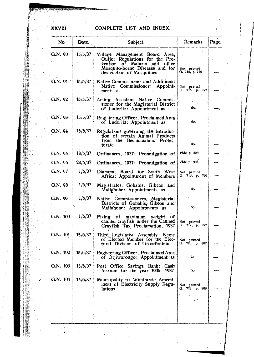### **XXVIII**

## COMPLETE LIST AND INDEX.

| No.       | - Date. | Subject.                                                                                                                                                             | Remarks.                      | Page. |
|-----------|---------|----------------------------------------------------------------------------------------------------------------------------------------------------------------------|-------------------------------|-------|
| G.N. 90   | 15/5/37 | Village Management Board Area,<br>Outjo: Regulations for the Pre-<br>of Malaria and other<br>vention<br>Mosquito-borne Diseases and for<br>destruction of Mosquitoes | Not printed<br>G. 715, p. 725 |       |
| G.N. 91   | 15/5/37 | Native Commissioner and Additional<br>Native Commissioner:<br>Appoint-<br>ments as                                                                                   | Not printed<br>G. 715, p. 727 |       |
| G.N. 92   | 15/5/37 | Acting Assistant Native Commis-<br>sioner for the Magisterial District<br>of Luderitz: Appointmént as                                                                | do.                           |       |
| G.N. 93   | 15/5/37 | Registering Officer, Proclaimed Area<br>of Luderitz: Appointment as                                                                                                  | do.                           |       |
| G.N. 94   | 15/5/37 | Regulations governing the Introduc-<br>tion of certain Animal Products<br>from the Bechuanaland Protec-<br>torate                                                    | do.                           |       |
| $G.N.$ 95 | 18/5/37 | Ordinances, 1937: Promulgation of                                                                                                                                    | Vide p. 328                   |       |
| G.N. 96   | 28/5/37 | Ordinances, 1937: Promulgation of                                                                                                                                    | Vide p. 388                   |       |
| G.N. 97   | 1/6/37  | Diamond Board for South West<br>Africa: Appointment of Members                                                                                                       | Not printed<br>G. 719, p. 796 |       |
| G.N. 98   | 1/6/37  | Magistrates, Gobabis, Gibeon and<br>Maltahohe: Appointments as                                                                                                       | do.                           |       |
| G.N. 99   | 1/6/37  | Native Commissioners, Magisterial<br>Districts of Gobabis, Gibeon and<br>Maltahohe: Appointments as                                                                  | đo.                           |       |
| G.N. 100  | 1/6/37  | Fixing of<br>maximum<br>weight<br>- of<br>canned crayfish under the Canned<br>Crayfish Tax Proclamation, 1937                                                        | Not printed<br>Q. 719, p. 797 |       |
| G.N. 101  | 15/6/37 | Third Legislative Assembly: Name<br>of Elected Member for the Elec-<br>toral Division of Grootfontein                                                                | Not printed<br>G. 720, p. 807 |       |
| G.N. 102  | 15/6/37 | Registering Officer, Proclaimed Area<br>of Otjiwarongo: Appointment as                                                                                               | do.                           |       |
| Q.N. 103  | 15/6/37 | Post Office Savings Bank: Cash<br>Account for the year 1936-1937                                                                                                     | do.                           |       |
| G.N. 104  | 15/6/37 | Municipality of Windhock: Amend-<br>ment of Electricity Supply Regu-<br>lations                                                                                      | Not printed<br>Q. 720, p. 808 |       |
|           |         |                                                                                                                                                                      |                               |       |

Ń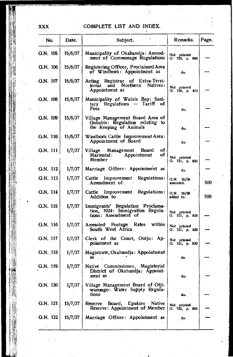## **XXX** COMPLETE LIST AND INDEX.

| No.           | Date.   | Subject.                                                                                      | Remarks.                      | Page. |
|---------------|---------|-----------------------------------------------------------------------------------------------|-------------------------------|-------|
| $Q.N.$ 105    | 15/6/37 | Municipality of Okahandja: Amend-<br>ment of Commonage Regulations                            | Not printed<br>G. 720, p. 809 |       |
| G.N. 106      | 15/6/37 | Registering Officer, Proclaimed Area<br>of Windhoek: Appointment as                           | do.                           |       |
| G.N. 107      | 15/6/37 | Acting Registrar of Extra-Terri-<br>and Northern Natives:<br>torial<br>Appointment as         | Not printed<br>G. 720, p. 810 |       |
| G.N. 108<br>W | 15/6/37 | Municipality of Walvis Bay: Sani-<br>tary Regulations<br>— Tariff<br>οf<br>Fees               | do.                           |       |
| G.N. 109      | 15/6/37 | Village Management Board Area of<br>Gobabis: Regulation relating to<br>the Keeping of Animals | do.                           |       |
| G.N. 110      | 15/6/37 | Windhoek Cattle Improvement Area:<br>Appointment of Board                                     | do.                           |       |
| Q.N. 111      | 1/7/37  | of,<br>Village Management Board<br>оf<br>Appointment<br>Mariental :<br>Member :               | Not printed<br>G. 721, p. 825 |       |
| G.N. 112      | 1/7/37  | Marriage Officer: Appointment as                                                              | do.                           |       |
| G.N. 113      | 1/7/37  | Cattle<br>Improvement Regulations:<br>Amendment of                                            | Q.N. 16/36<br>amended.        | 500   |
| G.N. 114      | 1/7/37  | Cattle Improvement Regulations:<br>Addition to                                                | G.N. 16/36<br>added to.       | 500   |
| G.N. 115      | 1/7/37  | Immigrants' Regulation Proclama-<br>tion, 1924: Immigration Regula-<br>tions: Amendment of    | Not printed<br>G. 721, p. 826 |       |
| G.N. 116      | 1/7/37  | within<br>Amended Postage Rates<br>South West Africa                                          | Not printed<br>G. 721, p. 829 |       |
| G.N. 117      | 1/7/37  | Clerk of the Court, Outjo: Ap-<br>pointment as                                                | Not printed<br>G. 721, p. 830 |       |
| G.N. 118      | 1/7/37  | Magistrate, Okahandja: Appointment<br>as.                                                     | do.                           |       |
| G.N. 119      | 1/7/37  | Native Commissioner, Magisterial<br>District of Okahandja: Appoint-<br>ment as                | do.                           |       |
| G.N. 120      | 1/7/37  | Village Management Board of Otji-<br>warongo: Water Supply Regula-<br>tions                   | do.                           |       |
| G.N. 121      | 15/7/37 | Board, Epukiro Native<br>Reserve<br>Reserve: Appointment of Member                            | Not printed<br>G. 722, p. 845 |       |
| G.N. 122      | 15/7/37 | Marriage Officer: Appointment as                                                              | do.                           |       |
|               |         |                                                                                               |                               |       |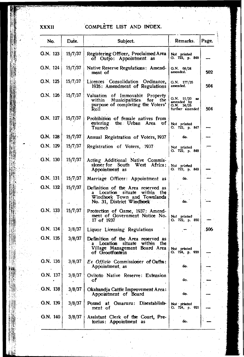**XXXII COMPLÈTE LIST AND INDEX.** 

| No.        | Date.      | Subject.                                                                                                                         | Remarks.                                                        | Page. |
|------------|------------|----------------------------------------------------------------------------------------------------------------------------------|-----------------------------------------------------------------|-------|
| G.N. 123   | 15/7/37    | Registering Officer, Proclaimed Area<br>of Outjo: Appointment as                                                                 | Not printed<br>0. 722, р. 846                                   |       |
| G.N. 124   | 15/7/37    | Native Reserve Regulations: Amend-<br>ment of                                                                                    | Q.N. 68/24<br>amended.                                          | 502   |
| G.N. 125   | 15/7/37    | Licences Consolidation Ordinance,<br>1935: Amendment of Regulations                                                              | G.N. 177/35<br>amended.                                         | 504   |
| G.N. 126   | 15/7/37    | Valuation of Immovable Property<br>Municipalities for the<br>within<br>purpose of completing the Voters'<br>Roll                 | G.N. 51/20<br>amended by<br>88<br>G.N. 34/25<br>further amended | 504   |
| G.N. 127   | 15/7/37    | Prohibition of female natives from<br>entering the Urban Area of<br>Tsumeb                                                       | Not printed<br>O. 722, p. 847                                   |       |
| G.N. 128   | 15/7/37    | Annual Registration of Voters, 1937                                                                                              | do.                                                             |       |
| G.N. 129   | 15/7/37    | Registration of Voters, 1937                                                                                                     | Not printed<br>G. 722, p. 848                                   |       |
| G.N. 130   | 15/7/37    | Acting Additional Native Commis-<br>sioner for South West Africa:<br>Appointment as                                              | Not printed<br>G. 722, p. 849                                   |       |
| Q.N. 131   | 15/7/37    | Marriage Officer: Appointment as                                                                                                 | do.                                                             |       |
| G.N. 132   | 15/7/37    | Definition of the Area reserved as<br>Location situate within<br>the<br>Windhoek Town and Townlands<br>No. 31, District Windhock | do.                                                             |       |
| G.N. 133   | $-15/7/37$ | Protection of Game, 1937: Amend-<br>ment of Government Notice No.<br>. 17 of 1937                                                | Not printed<br>O. 722, p. 850                                   |       |
| G.N. 134   | 3/8/37     | Liquor Licensing Regulations                                                                                                     |                                                                 | : 506 |
| G.N. 135   | 3/8/37     | Definition of the Area reserved as<br>a Location situate within the<br>Village Management Board Area<br>of Grootfontein          | Not printed<br>G. 724, p. 920                                   |       |
| G.N. 136   | 3/8/37     | Ex Officio Commissioner of Oaths:<br>Appointment, as                                                                             | do.                                                             |       |
| G.N. $137$ | 3/8/37     | Ovitoto Native Reserve: Extension<br>٥f                                                                                          | do.                                                             |       |
| G.N. 138   | 3/8/37     | Okahandja Cattle Improvement Area:<br>Appointment of Board                                                                       | do.                                                             |       |
| G.N. 139   | 3/8/37     | Pound at Omaruru:<br>Disestablish-<br>ment of                                                                                    | Not printed<br>O. 724, p. 921                                   |       |
| G.N. 140   | 3/8/37     | Assistant Clerk of the Court, Pre-<br>torius: Appointment as                                                                     | do.                                                             |       |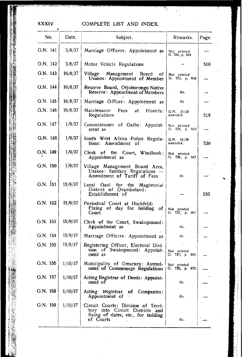## XXXIV **COMPLETE LIST AND INDEX.**

| No.        | Date.   | Subject.                                                                                                                 | Remarks.                      | Page. |
|------------|---------|--------------------------------------------------------------------------------------------------------------------------|-------------------------------|-------|
| G.N. 141   | 3/8/37  | Marriage Officers: Appointment as                                                                                        | Not printed<br>G. 724, p. 921 |       |
| G.N. 142   | 3/8/37  | Motor Vehicle Regulations                                                                                                |                               | 508   |
| G.N. 143   | 16/8/37 | Management Board<br>Village<br>-of<br>Usakos: Appointment of Member                                                      | Not printed<br>G. 725, p. 934 |       |
| G.N. 144   | 16/8/37 | Reserve Board, Otjohorongo Native<br>Reserve: Appointment of Members                                                     | do.                           |       |
| G.N. 145   | 16/8/37 | Marriage Officer: Appointment as                                                                                         | do.                           |       |
| G.N. 146   | 16/8/37 | Maintenance<br>Fees<br>at<br>Hostels:<br>Regulations                                                                     | O.N. 31/28<br>amended.        | 518   |
| G.N. 147   | 1/9/37  | Commissioner of Oaths: Appoint-<br>ment as                                                                               | Not printed<br>G. 726, p. 943 |       |
| G.N. 148   | 1/9/37  | South West Africa Police Regula-<br>tions: Amendment of                                                                  | Q.N. 44/36<br>amended.        | 520   |
| G.N. 149   | 1/9/37  | Clerk of the Court, Windhoek:<br>Appointment as                                                                          | Not printed<br>G. 726, p. 947 |       |
| G.N. 150   | 1/9/37  | Village Management Board Area,<br>Usakos: Sanitary Regulations --<br>Amendment of Tariff of Fees                         | đo.                           |       |
| G.N. 151   | 15/9/37 | Local Gaol for the Magisterial<br>District of Ovamboland:<br>Establishment of                                            |                               | 530   |
| G.N. 152   | 15/9/37 | Periodical Court at Hochfeld:<br>Fixing of day for holding of<br>Court                                                   | Not printed<br>G. 727, p. 961 |       |
| G.N. 153   | 15/9/37 | Clerk of the Court, Swakopmund:<br>Appointment as                                                                        | do.                           |       |
| $G.N.$ 154 | 15/9/37 | Marriage Officers: Appointment as                                                                                        | do.                           |       |
| G.N. 155   | 15/9/37 | Registering Officer, Electoral Divi-<br>sion of Swakopmund: Appoint-<br>ment as                                          | Not printed<br>G. 727, p. 962 |       |
| G.N. 156   | 1/10/37 | Municipality of Omaruru: Ainend-<br>ment of Commonage Regulations                                                        | Not printed<br>G. 728, p. 972 |       |
| G.N. 157   | 1/10/37 | Acting Registrar of Deeds: Appoint-<br>ment of                                                                           | do.                           |       |
| G.N. 158   | 1/10/37 | Acting Registrar of Companies:<br>Appointment of                                                                         | do.                           |       |
| G.N. 159   | 1/10/37 | Circuit Courts: Division of Terri-<br>tory into Circuit Districts and<br>fixing of dates, etc., for holding<br>of Courts | do.                           |       |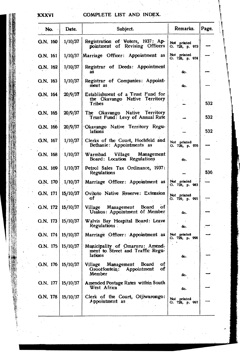### **XXXVI**

COMPLETE LIST AND INDEX.

| No.                  | Date.               | Subject.                                                                       | Remarks.                      | Page. |
|----------------------|---------------------|--------------------------------------------------------------------------------|-------------------------------|-------|
| Q.N. 160             | 1/10/37             | Registration of Voters, 1937: Ap-<br>pointment of Revising Officers            | Not printed<br>G. 728, p. 973 |       |
| G.N. 161             |                     | 1/10/37 Marriage Officer: Appointment as                                       | Not printed<br>G. 728, p. 974 |       |
| Q.N. 162             | 1/10/37             | Registrar of Deeds: Appointment<br>as                                          | do.                           |       |
| G.N. 163             | 1/10/37             | Registrar of Companies: Appoint-<br>ment as                                    | do.                           |       |
| G.N. 164             | 20/9/37             | Establishment of a Trust Fund for<br>the Okavango Native Territory<br>Tribes   |                               | 532   |
| G.N. 165             | 20/9/37             | The Okavango Native Territory<br>Trust Fund: Levy of Annual Rate               |                               | 532   |
| G.N. 166             | 20/9/37             | 'Okavango Native Territory Regu-<br>lations                                    |                               | 532   |
| G.N. 167             | 1/10/37             | Clerks of the Court, Hochfeld and<br>Bethanie: Appointments as                 | Not printed<br>G. 728, p. 976 |       |
| G.N. 168             | 1/10/37             | Warmbad Village<br>Management<br>Board: Location Regulations                   | do.                           |       |
| G.N. 169             | 1/10/37             | Petrol Sales Tax Ordinance, 1937:<br>Regulations                               |                               | 536   |
| G.N. 170   $1/10/37$ |                     | Marriage Officer: Appointment as                                               | Not printed<br>G. 728, p. 983 |       |
| G.N. 171             | 15/10/37            | Ovitoto Native Reserve: Extension<br>оf                                        | Not printed<br>G. 729, p. 995 |       |
| O.N. 172             | 15/10/37            | Board of<br>Village Management<br>Usakos: Appointment of Member                | do.                           |       |
| G.N. 173             | 15/10/37            | Walvis Bay Hospital Board: Leave<br><b>Regulations</b>                         | do.                           |       |
| G.N. 174             | 15/10/37            | Marriage Officer: Appointment as                                               | Not printed<br>G. 729, p. 996 |       |
| G.N. 175             | 15/10/37            | Municipality of Omaruru: Amend-<br>ment to Street and Traffic Regu-<br>lations | do.                           |       |
|                      | G.N. 176   15/10/37 | of<br>Village<br>Management Board<br>Grootfontein: Appointment<br>of<br>Member | do.                           |       |
| G.N. 177             | 15/10/37            | Amended Postage Rates within South<br>West Africa                              | do.                           |       |
| G.N. 178             | 15/10/37            | Clerk of the Court, Otjiwarongo:<br>Appointment as                             | Not printed<br>0.729, p.997   |       |
|                      |                     |                                                                                |                               |       |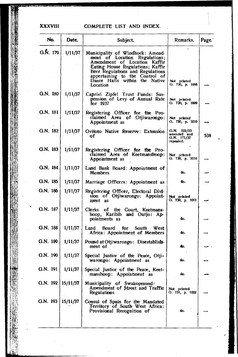### **XXXVIII**

COMPLETE LIST AND INDEX.

| No.                 | Date.    | Subject.                                                                                                                                                                                                                                                    | Remarks.                                                 | Page. |
|---------------------|----------|-------------------------------------------------------------------------------------------------------------------------------------------------------------------------------------------------------------------------------------------------------------|----------------------------------------------------------|-------|
| $G.\dot{N}$ . 179   | 1/11/37  | Municipality of Windhoek: Amend-<br>ment of Location<br>Regulations;<br>Amendment of Location Kaffir<br>Eating House Regulations; Kaffir<br>Beer Regulations and Regulations<br>appertaining to the Control of<br>Dance Halls within the Native<br>Location | Not printed<br>G. 730, p. 1006                           |       |
| G.N. 180            | 1/11/37  | Caprivi Zipfel Trust Funds: Sus-<br>pension of Levy of Annual Rate<br>for 1937                                                                                                                                                                              | Not printed<br>G. 730, p. 1009                           |       |
| G.N. 181            | 1/11/37  | Registering Officer for the Pro-<br>claimed Area of Otjiwarongo:<br>Appointment as                                                                                                                                                                          | Not printed<br>O. 730, p. 1010                           |       |
| G.N. 182            | 1/11/37  | Ovitoto Native Reserve: Extension<br>of                                                                                                                                                                                                                     | $0.N.$ 122/23<br>amended and<br>G.N. 171/37<br>repealed. | 538   |
| Q.N. 183            | 1/11/37  | Registering Officer for the Pro-<br>claimed Area of Keetmanshoop:<br>Appointment as                                                                                                                                                                         | Not printed<br>G. 730, p. 1010                           |       |
| G.N. 184            | 1/11/37  | Land Bank Board: Appointment of<br><b>Members</b>                                                                                                                                                                                                           | do.                                                      |       |
| G.N. 185            | 1/11/37  | Marriage Officers: Appointment as                                                                                                                                                                                                                           | do.                                                      |       |
| G.N. 186            | 1/11/37  | Registering Officer, Electoral Divi-<br>sion of Otjiwarongo: Appoint-<br>ment as                                                                                                                                                                            | Not printed<br>G. 730, p. 1011                           |       |
| G.N. 187            | 1/11/37  | Clerks of the Court, Keetmans-<br>hoop, Karibib and Outjo: Ap-<br>pointments as                                                                                                                                                                             | do.                                                      |       |
| G.N. 188            | 1/11/37  | Board for South<br>Land<br>West<br>Africa: Appointment of Members                                                                                                                                                                                           | do.                                                      |       |
| G.N. 189            | 1/11/37  | Pound at Otjiwarongo: Disestablish-<br>ment of                                                                                                                                                                                                              | do.                                                      |       |
| G.N. 190            | 1/11/37  | Special Justice of the Peace, Otji-<br>warongo: Appointment as                                                                                                                                                                                              | do.                                                      |       |
| $Q.N.$ 191          | 1/11/37  | Special Justice of the Peace, Keet-<br>manshoop: Appointment as                                                                                                                                                                                             | do.                                                      |       |
| G.N. 192   15/11/37 |          | Municipality of Swakopmund:<br>Amendment of Street and Traffic<br>Regulations                                                                                                                                                                               | Not printed<br>G. 731, p. 1022                           |       |
| G.N. 193            | 15/11/37 | Consul of Spain for the Mandated<br>Territory of South West Africa:<br>Provisional Recognition of                                                                                                                                                           | do.                                                      |       |
|                     |          |                                                                                                                                                                                                                                                             |                                                          |       |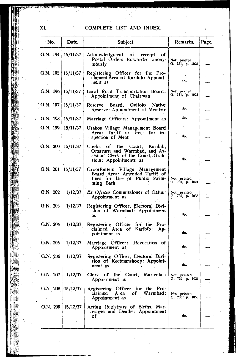## COMPLETE LIST AND INDEX.

| No.                      | Date.          | Subject.                                                                                                                     | Remarks.                          | Page. |
|--------------------------|----------------|------------------------------------------------------------------------------------------------------------------------------|-----------------------------------|-------|
| G.N. 194                 | 15/11/37       | Acknowledgment of<br>receipt<br>оf<br>Postal Orders forwarded anony-<br>mously                                               | Not printed<br>O. 731, p. 1022    |       |
| G.N. $195$               | 15/11/37       | Registering Officer for the Pro-<br>claimed Area of Karibib: Appoint-<br>ment as                                             | do.                               |       |
| G.N. 196   15/11/37      |                | Local Road Transportation Board:<br>Appointment of Chairman                                                                  | Not printed<br>O. 731, p. 1023    |       |
| G.N. 197                 | 15/11/37       | Reserve Board, Ovitoto Native<br>Reserve: Appointment of Member                                                              | ٥о.                               |       |
| G.N. 198                 | 15/11/37       | Marriage Officers: Appointment as                                                                                            | do.                               |       |
| G.N. 199                 | 15/11/37       | Usakos Village Management Board<br>Area: Tariff of Fees for In-<br>spection of Meat                                          | do.                               |       |
| G.N. $200   15/11/37$    |                | Clerks of the Court, Karibib,<br>Omaruru and Warmbad, and As-<br>sistant Clerk of the Court, Grab-<br>stein: Appointments as | do.                               |       |
| $O.N. 201 \mid 15/11/37$ |                | Grootfontein Village Management<br>Board Area: Amended Tariff of<br>Fees for Use of Public Swim-<br>ming Bath                | Not printed<br>G. 731, p. 1024    |       |
| G.N. 202                 | 1/12/37        | <i>Ex Officio</i> Commissioner of Oaths.<br>Appointment as                                                                   | Not printed<br>G. 732, p. 1033    |       |
| G.N. 203                 | 1/12/37        | Registering Officer, Electoral Divi-<br>sion of Warmbad: Appointment<br>as                                                   | do.                               |       |
| G.N. 204                 | 1/12/37        | Registering Officer for the Pro-<br>claimed Area of Karibib:<br>Ap-<br>pointment as                                          | do.                               |       |
| O.N. 205                 | 1/12/37        | Marriage Officer: Revocation of<br>Appointment as                                                                            | đo.                               |       |
| $G.N.$ 206               | 1/12/37        | Registering Officer, Electoral Divi-<br>sion of Keetmanshoop: Appoint-<br>ment as                                            | do.                               |       |
| G.N. $207$               | 1/12/37        | of the Court,<br>Clerk<br>Mariental: Not printed<br>Appointment as                                                           | G. 732, p. 1034                   |       |
| G.N. 208   $15/12/37$    |                | Registering Officer for the Pro-<br>of Warmbad:<br>Area<br>claimed<br>Appointment as                                         | Not printed<br>$Q. 733$ , p. 1050 |       |
| G.N. 209                 | 15/12/37<br>A, | Acting Registrars of Births, Mar-<br>riages and Deaths: Appointment<br>οf                                                    | do.                               |       |
|                          |                |                                                                                                                              |                                   |       |

**XL**